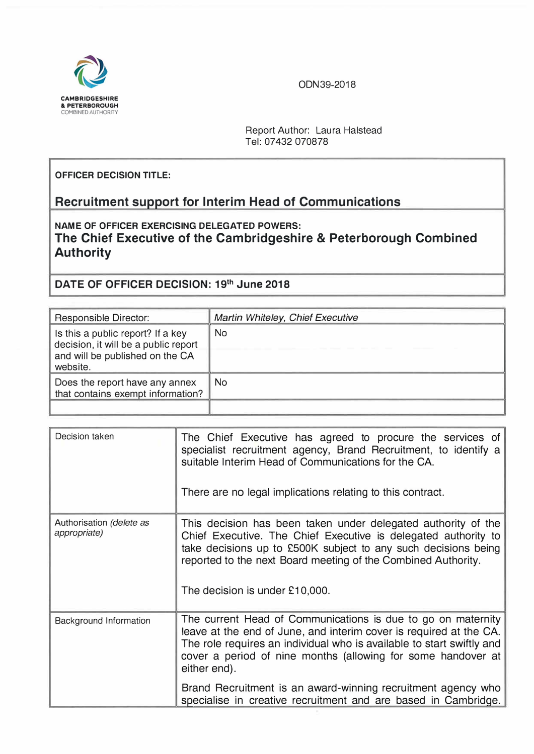ODN39-2018



Report Author: Laura Halstead Tel: 07432 070878

## **OFFICER DECISION TITLE:**

## **Recruitment support for Interim Head of Communications**

**NAME OF OFFICER EXERCISING DELEGATED POWERS: The Chief Executive of the Cambridgeshire & Peterborough Combined Authority** 

**DATE OF OFFICER DECISION: 19th June 2018** 

| Responsible Director:                                                                                                    | Martin Whiteley, Chief Executive |
|--------------------------------------------------------------------------------------------------------------------------|----------------------------------|
| Is this a public report? If a key<br>decision, it will be a public report<br>and will be published on the CA<br>website. | No                               |
| Does the report have any annex<br>that contains exempt information?                                                      | N <sub>o</sub>                   |

| Decision taken                           | The Chief Executive has agreed to procure the services of<br>specialist recruitment agency, Brand Recruitment, to identify a<br>suitable Interim Head of Communications for the CA.<br>There are no legal implications relating to this contract.                                                    |
|------------------------------------------|------------------------------------------------------------------------------------------------------------------------------------------------------------------------------------------------------------------------------------------------------------------------------------------------------|
| Authorisation (delete as<br>appropriate) | This decision has been taken under delegated authority of the<br>Chief Executive. The Chief Executive is delegated authority to<br>take decisions up to £500K subject to any such decisions being<br>reported to the next Board meeting of the Combined Authority.<br>The decision is under £10,000. |
| Background Information                   | The current Head of Communications is due to go on maternity<br>leave at the end of June, and interim cover is required at the CA.<br>The role requires an individual who is available to start swiftly and<br>cover a period of nine months (allowing for some handover at<br>either end).          |
|                                          | Brand Recruitment is an award-winning recruitment agency who<br>specialise in creative recruitment and are based in Cambridge.                                                                                                                                                                       |